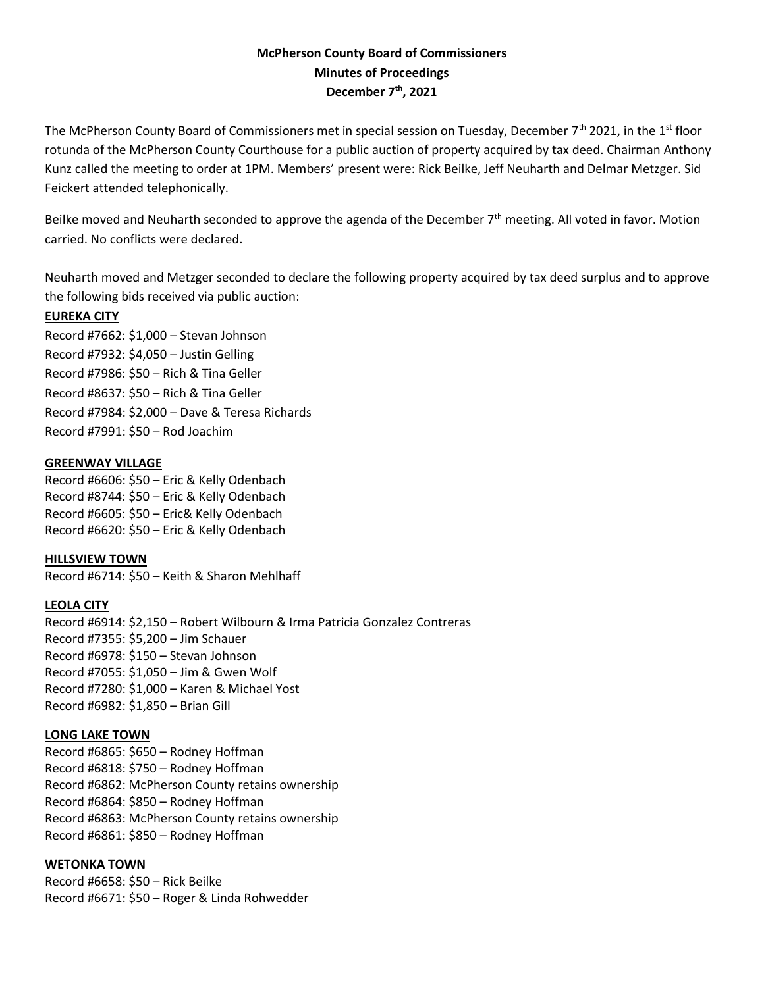# **McPherson County Board of Commissioners Minutes of Proceedings December 7th, 2021**

The McPherson County Board of Commissioners met in special session on Tuesday, December  $7<sup>th</sup>$  2021, in the 1<sup>st</sup> floor rotunda of the McPherson County Courthouse for a public auction of property acquired by tax deed. Chairman Anthony Kunz called the meeting to order at 1PM. Members' present were: Rick Beilke, Jeff Neuharth and Delmar Metzger. Sid Feickert attended telephonically.

Beilke moved and Neuharth seconded to approve the agenda of the December  $7<sup>th</sup>$  meeting. All voted in favor. Motion carried. No conflicts were declared.

Neuharth moved and Metzger seconded to declare the following property acquired by tax deed surplus and to approve the following bids received via public auction:

## **EUREKA CITY**

Record #7662: \$1,000 – Stevan Johnson Record #7932: \$4,050 – Justin Gelling Record #7986: \$50 – Rich & Tina Geller Record #8637: \$50 – Rich & Tina Geller Record #7984: \$2,000 – Dave & Teresa Richards Record #7991: \$50 – Rod Joachim

### **GREENWAY VILLAGE**

Record #6606: \$50 – Eric & Kelly Odenbach Record #8744: \$50 – Eric & Kelly Odenbach Record #6605: \$50 – Eric& Kelly Odenbach Record #6620: \$50 – Eric & Kelly Odenbach

**HILLSVIEW TOWN** Record #6714: \$50 – Keith & Sharon Mehlhaff

## **LEOLA CITY**

Record #6914: \$2,150 – Robert Wilbourn & Irma Patricia Gonzalez Contreras Record #7355: \$5,200 – Jim Schauer Record #6978: \$150 – Stevan Johnson Record #7055: \$1,050 – Jim & Gwen Wolf Record #7280: \$1,000 – Karen & Michael Yost Record #6982: \$1,850 – Brian Gill

## **LONG LAKE TOWN**

Record #6865: \$650 – Rodney Hoffman Record #6818: \$750 – Rodney Hoffman Record #6862: McPherson County retains ownership Record #6864: \$850 – Rodney Hoffman Record #6863: McPherson County retains ownership Record #6861: \$850 – Rodney Hoffman

## **WETONKA TOWN**

Record #6658: \$50 – Rick Beilke Record #6671: \$50 – Roger & Linda Rohwedder